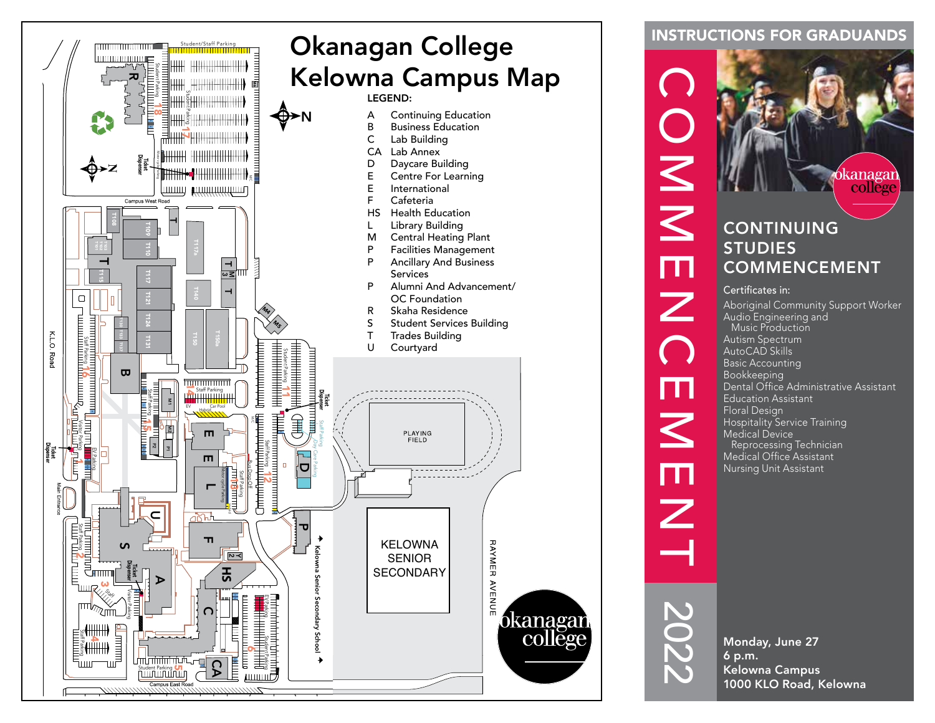

### INSTRUCTIONS FOR GRADUANDS



Basic Accounting Bookkeeping Dental Office Administrative Assistant Education Assistant Floral Design Hospitality Service Training Medical Device Reprocessing Technician Medical Office Assistant Nursing Unit Assistant

Monday, June 27 6 p.m. Kelowna Campus 1000 KLO Road, Kelowna

2022

Ш

 $\overline{\mathsf{K}}$ 

m

 $\overline{\mathcal{Z}}$